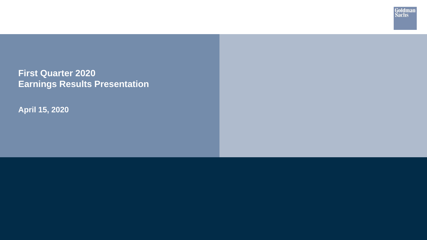**First Quarter 2020 Earnings Results Presentation** Goldman<br>Sachs

**April 15, 2020**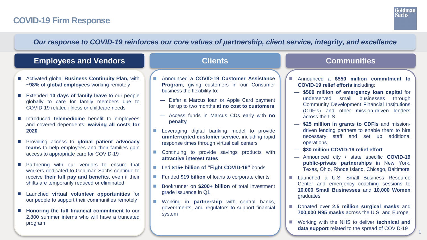# **COVID-19 Firm Response**



1

## *Our response to COVID-19 reinforces our core values of partnership, client service, integrity, and excellence*

## **Employees and Vendors Clients Communities**

- Activated global **Business Continuity Plan,** with **~98% of global employees** working remotely
- Extended **10 days of family leave** to our people globally to care for family members due to COVID-19 related illness or childcare needs
- Introduced **telemedicine** benefit to employees and covered dependents; **waiving all costs for 2020**
- Providing access to **global patient advocacy teams** to help employees and their families gain access to appropriate care for COVID-19
- Partnering with our vendors to ensure that workers dedicated to Goldman Sachs continue to receive **their full pay and benefits**, even if their shifts are temporarily reduced or eliminated
- Launched **virtual volunteer opportunities** for our people to support their communities remotely
- **Honoring the full financial commitment** to our 2,800 summer interns who will have a truncated program

- Announced a **COVID-19 Customer Assistance Program**, giving customers in our Consumer business the flexibility to:
	- Defer a Marcus loan or Apple Card payment for up to two months **at no cost to customers**
	- Access funds in Marcus CDs early with **no penalty**
- **Leveraging digital banking model to provide uninterrupted customer service**, including rapid response times through virtual call centers
- **Continuing to provide savings products with attractive interest rates**
- Led **\$15+ billion of "Fight COVID-19"** bonds
- Funded **\$19 billion** of loans to corporate clients
- Bookrunner on **\$200+ billion** of total investment grade issuance in Q1
- **Norking in partnership** with central banks, governments, and regulators to support financial system

- Announced a **\$550 million commitment to COVID-19 relief efforts** including:
	- **\$500 million of emergency loan capital** for underserved small businesses through Community Development Financial Institutions (CDFIs) and other mission-driven lenders across the US
	- **\$25 million in grants to CDFIs** and missiondriven lending partners to enable them to hire necessary staff and set up additional operations
	- **\$30 million COVID-19 relief effort**
	- Announced city / state specific **COVID-19 public-private partnerships** in New York, Texas, Ohio, Rhode Island, Chicago, Baltimore
- **Launched a U.S. Small Business Resource** Center and emergency coaching sessions to **10,000 Small Businesses** and **10,000 Women** graduates
- Donated over 2.5 million surgical masks and **700,000 N95 masks** across the U.S. and Europe
- Working with the NHS to deliver **technical and data support** related to the spread of COVID-19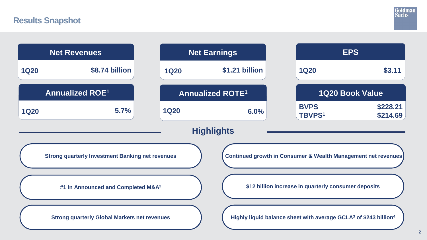# **Results Snapshot**



|             | <b>Net Revenues</b>                                     |             | <b>Net Earnings</b>                                                                      |                                                      | <b>EPS</b>             |
|-------------|---------------------------------------------------------|-------------|------------------------------------------------------------------------------------------|------------------------------------------------------|------------------------|
| <b>1Q20</b> | \$8.74 billion                                          | <b>1Q20</b> | \$1.21 billion                                                                           | <b>1Q20</b>                                          | \$3.11                 |
|             | <b>Annualized ROE1</b>                                  |             | <b>Annualized ROTE1</b>                                                                  |                                                      | <b>1Q20 Book Value</b> |
| <b>1Q20</b> | 5.7%                                                    | <b>1Q20</b> | 6.0%                                                                                     | <b>BVPS</b><br><b>TBVPS1</b>                         | \$228.21<br>\$214.69   |
|             |                                                         |             | <b>Highlights</b>                                                                        |                                                      |                        |
|             | <b>Strong quarterly Investment Banking net revenues</b> |             | <b>Continued growth in Consumer &amp; Wealth Management net revenues</b>                 |                                                      |                        |
|             | #1 in Announced and Completed M&A <sup>2</sup>          |             |                                                                                          | \$12 billion increase in quarterly consumer deposits |                        |
|             | <b>Strong quarterly Global Markets net revenues</b>     |             | Highly liquid balance sheet with average GCLA <sup>3</sup> of \$243 billion <sup>4</sup> |                                                      |                        |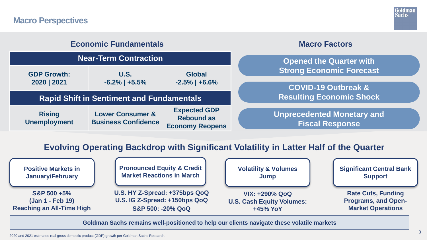## **Macro Perspectives**



| <b>Economic Fundamentals</b>         |                                                           |                                                                    |  | <b>Macro Factors</b>                                              |
|--------------------------------------|-----------------------------------------------------------|--------------------------------------------------------------------|--|-------------------------------------------------------------------|
| <b>Near-Term Contraction</b>         |                                                           |                                                                    |  | <b>Opened the Quarter with</b>                                    |
| <b>GDP Growth:</b><br>2020   2021    | <b>U.S.</b><br>$-6.2\%$   $+5.5\%$                        | <b>Global</b><br>$-2.5\%$   +6.6%                                  |  | <b>Strong Economic Forecast</b>                                   |
|                                      | <b>Rapid Shift in Sentiment and Fundamentals</b>          |                                                                    |  | <b>COVID-19 Outbreak &amp;</b><br><b>Resulting Economic Shock</b> |
| <b>Rising</b><br><b>Unemployment</b> | <b>Lower Consumer &amp;</b><br><b>Business Confidence</b> | <b>Expected GDP</b><br><b>Rebound as</b><br><b>Economy Reopens</b> |  | <b>Unprecedented Monetary and</b><br><b>Fiscal Response</b>       |

## **Evolving Operating Backdrop with Significant Volatility in Latter Half of the Quarter**



**Goldman Sachs remains well-positioned to help our clients navigate these volatile markets**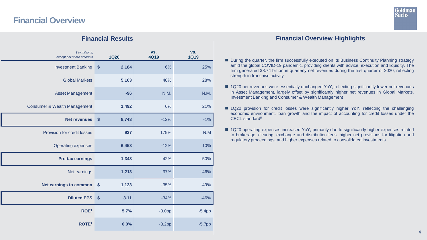# **Financial Overview**



| \$ in millions,<br>except per share amounts |                        | <b>1Q20</b> | VS.<br><b>4Q19</b> | VS.<br><b>1Q19</b> |
|---------------------------------------------|------------------------|-------------|--------------------|--------------------|
| <b>Investment Banking</b>                   | \$                     | 2,184       | 6%                 | 25%                |
| <b>Global Markets</b>                       |                        | 5,163       | 48%                | 28%                |
| <b>Asset Management</b>                     |                        | $-96$       | N.M.               | N.M.               |
| <b>Consumer &amp; Wealth Management</b>     |                        | 1,492       | 6%                 | 21%                |
| <b>Net revenues</b>                         | $\boldsymbol{\$}$      | 8,743       | $-12%$             | $-1%$              |
| <b>Provision for credit losses</b>          |                        | 937         | 179%               | N.M                |
| <b>Operating expenses</b>                   |                        | 6,458       | $-12%$             | 10%                |
| <b>Pre-tax earnings</b>                     |                        | 1,348       | $-42%$             | $-50%$             |
| Net earnings                                |                        | 1,213       | $-37%$             | $-46%$             |
| <b>Net earnings to common</b>               | \$                     | 1,123       | $-35%$             | $-49%$             |
| <b>Diluted EPS</b>                          | $\boldsymbol{\hat{s}}$ | 3.11        | $-34%$             | $-46%$             |
| ROE <sup>1</sup>                            |                        | 5.7%        | $-3.0pp$           | $-5.4pp$           |
| ROTE <sup>1</sup>                           |                        | 6.0%        | $-3.2pp$           | $-5.7$ pp          |

## **Financial Results Financial Overview Highlights**

- During the quarter, the firm successfully executed on its Business Continuity Planning strategy amid the global COVID-19 pandemic, providing clients with advice, execution and liquidity. The firm generated \$8.74 billion in quarterly net revenues during the first quarter of 2020, reflecting strength in franchise activity
- 1Q20 net revenues were essentially unchanged YoY, reflecting significantly lower net revenues in Asset Management, largely offset by significantly higher net revenues in Global Markets, Investment Banking and Consumer & Wealth Management
- 1Q20 provision for credit losses were significantly higher YoY, reflecting the challenging economic environment, loan growth and the impact of accounting for credit losses under the CECL standard<sup>5</sup>
- 1Q20 operating expenses increased YoY, primarily due to significantly higher expenses related to brokerage, clearing, exchange and distribution fees, higher net provisions for litigation and regulatory proceedings, and higher expenses related to consolidated investments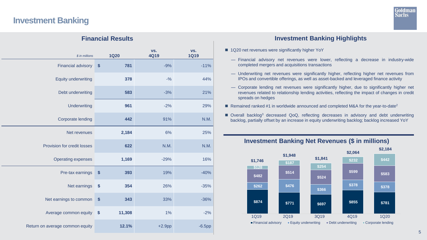# **Investment Banking**



| <b>Financial Results</b>        |                             |                    |                    |  |
|---------------------------------|-----------------------------|--------------------|--------------------|--|
| \$ in millions                  | <b>1Q20</b>                 | VS.<br><b>4Q19</b> | VS.<br><b>1Q19</b> |  |
| <b>Financial advisory</b>       | 781<br>\$                   | $-9%$              | $-11%$             |  |
| <b>Equity underwriting</b>      | 378                         | $-9/6$             | 44%                |  |
| Debt underwriting               | 583                         | $-3%$              | 21%                |  |
| <b>Underwriting</b>             | 961                         | $-2%$              | 29%                |  |
| <b>Corporate lending</b>        | 442                         | 91%                | N.M.               |  |
| Net revenues                    | 2,184                       | 6%                 | 25%                |  |
| Provision for credit losses     | 622                         | N.M.               | N.M.               |  |
| <b>Operating expenses</b>       | 1,169                       | $-29%$             | 16%                |  |
| Pre-tax earnings                | \$<br>393                   | 19%                | $-40%$             |  |
| Net earnings                    | \$<br>354                   | 26%                | $-35%$             |  |
| Net earnings to common          | \$<br>343                   | 33%                | $-36%$             |  |
| Average common equity           | $\boldsymbol{\$}$<br>11,308 | 1%                 | $-2%$              |  |
| Return on average common equity | 12.1%                       | $+2.9$ pp          | $-6.5pp$           |  |

### **Investment Banking Highlights**

- 1Q20 net revenues were significantly higher YoY
	- Financial advisory net revenues were lower, reflecting a decrease in industry-wide completed mergers and acquisitions transactions
	- Underwriting net revenues were significantly higher, reflecting higher net revenues from IPOs and convertible offerings, as well as asset-backed and leveraged finance activity
	- Corporate lending net revenues were significantly higher, due to significantly higher net revenues related to relationship lending activities, reflecting the impact of changes in credit spreads on hedges
- Remained ranked #1 in worldwide announced and completed M&A for the year-to-date<sup>2</sup>
- Overall backlog<sup>3</sup> decreased QoQ, reflecting decreases in advisory and debt underwriting backlog, partially offset by an increase in equity underwriting backlog; backlog increased YoY



## **Investment Banking Net Revenues (\$ in millions)**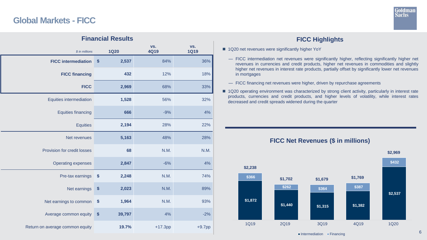# **Global Markets - FICC**



# *\$ in millions* **1Q20 vs. 4Q19 vs. 1Q19 FICC intermediation 6 2,537** 84% 36% 36% **FICC financing**  $432$  12% 18% **FICC** 2,969 68% 33% Equities intermediation **1,528** 56% 32% Equities financing **666** -9% **4%** 4% Equities **2,194** 28% 22% Net revenues **5,163** 48% 28% Provision for credit losses **68 68** N.M. N.M. N.M. Operating expenses **2,847** -6% **4%** 4% Pre-tax earnings **\$ 2,248** N.M. 74% Net earnings **\$ 2,023** N.M. 89% Net earnings to common  $\frac{1}{3}$  1,964 N.M. 93% Average common equity  $\sin 39.797$  4%  $\sin 4\%$ Return on average common equity **19.7%** +17.3pp +9.7pp **Financial Results**

## **FICC Highlights**

- 1Q20 net revenues were significantly higher YoY
	- FICC intermediation net revenues were significantly higher, reflecting significantly higher net revenues in currencies and credit products, higher net revenues in commodities and slightly higher net revenues in interest rate products, partially offset by significantly lower net revenues in mortgages
	- FICC financing net revenues were higher, driven by repurchase agreements
- 1Q20 operating environment was characterized by strong client activity, particularly in interest rate products, currencies and credit products, and higher levels of volatility, while interest rates decreased and credit spreads widened during the quarter



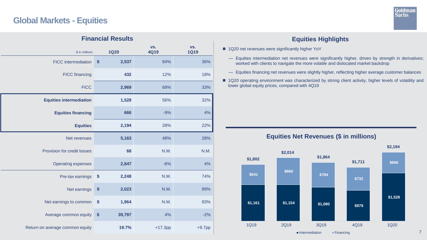# **Global Markets - Equities**



# *\$ in millions* **1Q20 vs. 4Q19 vs. 1Q19** FICC intermediation **\$ 2,537** 84% 84% 36% FICC financing **432** 12% 18% FICC **2,969** 68% 33% **Equities intermediation 1,528** 56% 32% **Equities financing**  $\begin{array}{ccc} 666 & -9\% & -4\% \end{array}$ **Equities 2,194** 28% 22% Net revenues **5,163** 48% 28% Provision for credit losses **68 68** N.M. N.M. N.M. Operating expenses **2,847** -6% **4%** 4% Pre-tax earnings **\$** 2,248 N.M. 74% Net earnings **\$ 2,023** N.M. 89% Net earnings to common  $\frac{1}{3}$  1,964 N.M. 93% Average common equity **\$ 39,797** 4% 4% -2% **Financial Results**

## **Equities Highlights**

- 1Q20 net revenues were significantly higher YoY
	- Equities intermediation net revenues were significantly higher, driven by strength in derivatives; worked with clients to navigate the more volatile and dislocated market backdrop
	- Equities financing net revenues were slightly higher, reflecting higher average customer balances
- **1Q20 operating environment was characterized by strong client activity, higher levels of volatility and** lower global equity prices, compared with 4Q19



### **Equities Net Revenues (\$ in millions)**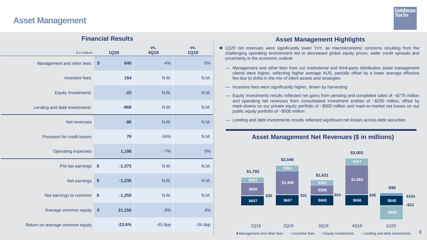# **Asset Management**



#### **Financial Results**

| \$ in millions                  |                   | <b>1Q20</b> | VS.<br><b>4Q19</b> | VS.<br><b>1Q19</b> |
|---------------------------------|-------------------|-------------|--------------------|--------------------|
| Management and other fees       | \$                | 640         | $-4%$              | 5%                 |
| Incentive fees                  |                   | 154         | N.M.               | N.M.               |
| <b>Equity investments</b>       |                   | $-22$       | N.M.               | N.M.               |
| Lending and debt investments    |                   | $-868$      | N.M.               | N.M.               |
| Net revenues                    |                   | $-96$       | N.M.               | N.M.               |
| Provision for credit losses     |                   | 79          | $-34%$             | N.M.               |
| <b>Operating expenses</b>       |                   | 1,198       | $-7%$              | 9%                 |
| Pre-tax earnings                | $\boldsymbol{\$}$ | $-1,373$    | N.M.               | N.M.               |
| Net earnings                    | $\boldsymbol{\$}$ | $-1,236$    | N.M.               | N.M.               |
| Net earnings to common          | $\boldsymbol{\$}$ | $-1,250$    | N.M.               | N.M.               |
| Average common equity           | \$                | 21,156      | $-8%$              | 4%                 |
| Return on average common equity |                   | $-23.6%$    | $-45.6$ pp         | $-34.4$ pp         |

#### **Asset Management Highlights**

- 1Q20 net revenues were significantly lower YoY, as macroeconomic concerns resulting from the challenging operating environment led to decreased global equity prices, wider credit spreads and uncertainty in the economic outlook
	- Management and other fees from our institutional and third-party distribution asset management clients were higher, reflecting higher average AUS, partially offset by a lower average effective fee due to shifts in the mix of client assets and strategies
	- Incentive fees were significantly higher, driven by harvesting
	- Equity investments results reflected net gains from pending and completed sales of ~\$775 million and operating net revenues from consolidated investment entities of ~\$200 million, offset by mark-downs on our private equity portfolio of ~\$500 million and mark-to-market net losses on our public equity portfolio of ~\$500 million
	- Lending and debt investments results reflected significant net losses across debt securities

#### **Asset Management Net Revenues (\$ in millions)**

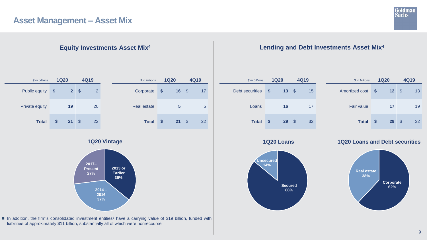# **Asset Management – Asset Mix**



| \$ in billions        | <b>1Q20</b>                     | 4Q19                            | \$ in billions     | <b>1Q20</b>         | 4Q19      |
|-----------------------|---------------------------------|---------------------------------|--------------------|---------------------|-----------|
| <b>Public equity</b>  | 2 <sup>1</sup><br>$\sqrt[6]{3}$ | $\overline{2}$<br>$\mathcal{S}$ | Corporate          | 16<br>$\sqrt[6]{3}$ | -\$<br>17 |
| <b>Private equity</b> | 19                              | 20                              | <b>Real estate</b> | 5                   | 5         |
| <b>Total</b>          | $21 \quad$ \$<br>\$             | 22                              | <b>Total</b>       | 21<br>\$            | -\$<br>22 |

**1Q20 Vintage**



■ In addition, the firm's consolidated investment entities<sup>6</sup> have a carrying value of \$19 billion, funded with liabilities of approximately \$11 billion, substantially all of which were nonrecourse

## **Equity Investments Asset Mix<sup>4</sup> Lending and Debt Investments Asset Mix<sup>4</sup>**

| \$ in billions         | <b>1Q20</b> |    | 4Q19 |    |  |
|------------------------|-------------|----|------|----|--|
| <b>Debt securities</b> | \$          | 13 | \$   | 15 |  |
| Loans                  |             | 16 |      | 17 |  |
| <b>Total</b>           | S           | 29 | \$   | 32 |  |





**1Q20 Loans 1Q20 Loans and Debt securities**

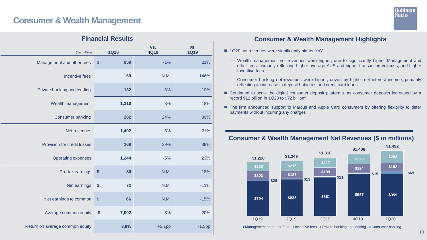# **Consumer & Wealth Management**



|                                 | <b>Financial Results</b>   |                    |                    |
|---------------------------------|----------------------------|--------------------|--------------------|
| \$ in millions                  | <b>1Q20</b>                | VS.<br><b>4Q19</b> | VS.<br><b>1Q19</b> |
| Management and other fees       | 959<br>\$                  | $-1%$              | 21%                |
| Incentive fees                  | 69                         | N.M.               | 146%               |
| Private banking and lending     | 182                        | $-6%$              | $-10%$             |
| Wealth management               | 1,210                      | 3%                 | 18%                |
| <b>Consumer banking</b>         | 282                        | 24%                | 39%                |
| Net revenues                    | 1,492                      | 6%                 | 21%                |
| Provision for credit losses     | 168                        | 39%                | 38%                |
| <b>Operating expenses</b>       | 1,244                      | $-5%$              | 23%                |
| Pre-tax earnings                | $\boldsymbol{\$}$<br>80    | N.M.               | $-18%$             |
| Net earnings                    | $\boldsymbol{\$}$<br>72    | N.M.               | $-11%$             |
| Net earnings to common          | \$<br>66                   | N.M.               | $-15%$             |
| Average common equity           | $\boldsymbol{\$}$<br>7,002 | $-3%$              | 20%                |
| Return on average common equity | 3.8%                       | $+5.1$ pp          | $-1.5$ pp          |

## **Consumer & Wealth Management Highlights**

- 1Q20 net revenues were significantly higher YoY
	- Wealth management net revenues were higher, due to significantly higher Management and other fees, primarily reflecting higher average AUS and higher transaction volumes, and higher Incentive fees
	- Consumer banking net revenues were higher, driven by higher net interest income, primarily reflecting an increase in deposit balances and credit card loans
- Continued to scale the digital consumer deposit platforms, as consumer deposits increased by a record \$12 billion in 1Q20 to \$72 billion<sup>4</sup>
- The firm announced support to Marcus and Apple Card consumers by offering flexibility to defer payments without incurring any charges



■ Management and other fees ■ Incentive fees ■ Private banking and lending ■ Consumer banking

## **Consumer & Wealth Management Net Revenues (\$ in millions)**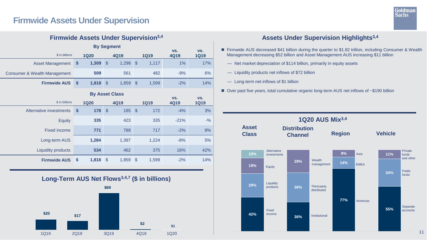# **Firmwide Assets Under Supervision**



|                                         |                           |                       |               |                   |               | <b>Firmwide Assets Under Supervision</b> 3,4 |             |             |
|-----------------------------------------|---------------------------|-----------------------|---------------|-------------------|---------------|----------------------------------------------|-------------|-------------|
|                                         |                           |                       |               | <b>By Segment</b> |               |                                              | VS.         | VS.         |
| \$ in billions                          |                           | <b>1Q20</b>           |               | <b>4Q19</b>       |               | <b>1Q19</b>                                  | 4Q19        | <b>1Q19</b> |
| <b>Asset Management</b>                 | $\boldsymbol{\$}$         | 1,309                 | $\mathcal{S}$ | 1,298             | $\mathcal{S}$ | 1,117                                        | 1%          | 17%         |
| <b>Consumer &amp; Wealth Management</b> |                           | 509                   |               | 561               |               | 482                                          | $-9%$       | 6%          |
| <b>Firmwide AUS</b>                     | \$                        | 1,818                 | $\mathcal{S}$ | 1,859             | $\mathcal{S}$ | 1,599                                        | $-2%$       | 14%         |
|                                         |                           | <b>By Asset Class</b> |               |                   |               |                                              |             |             |
| \$ in billions                          |                           |                       |               |                   |               |                                              | VS.         | VS.         |
|                                         |                           | <b>1Q20</b>           |               | <b>4Q19</b>       |               | <b>1Q19</b>                                  | <b>4Q19</b> | <b>1Q19</b> |
| Alternative investments                 | $\boldsymbol{\mathsf{s}}$ | 178                   | $\mathcal{S}$ | 185               | $\mathcal{S}$ | 172                                          | $-4%$       | 3%          |
| <b>Equity</b>                           |                           | 335                   |               | 423               |               | 335                                          | $-21%$      | $-9/6$      |
| <b>Fixed income</b>                     |                           | 771                   |               | 789               |               | 717                                          | $-2%$       | 8%          |
| Long-term AUS                           |                           | 1,284                 |               | 1,397             |               | 1,224                                        | $-8%$       | 5%          |
| <b>Liquidity products</b>               |                           | 534                   |               | 462               |               | 375                                          | 16%         | 42%         |



## **Assets Under Supervision Highlights<sup>3,4</sup>**

- Firmwide AUS decreased \$41 billion during the quarter to \$1.82 trillion, including Consumer & Wealth Management decreasing \$52 billion and Asset Management AUS increasing \$11 billion
	- Net market depreciation of \$114 billion, primarily in equity assets
	- Liquidity products net inflows of \$72 billion
	- Long-term net inflows of \$1 billion
- Over past five years, total cumulative organic long-term AUS net inflows of ~\$190 billion

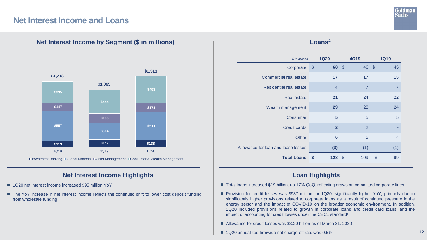## **Net Interest Income and Loans**



**Net Interest Income by Segment (\$ in millions)**

Investment Banking Global Markets Asset Management Consumer & Wealth Management

## **Net Interest Income Highlights**

- 1Q20 net interest income increased \$95 million YoY
- The YoY increase in net interest income reflects the continued shift to lower cost deposit funding from wholesale funding

### **Loans<sup>4</sup>**

| \$ in billions                      | <b>1Q20</b>       |                | 4Q19                      |                | <b>1Q19</b>               |                |
|-------------------------------------|-------------------|----------------|---------------------------|----------------|---------------------------|----------------|
| Corporate                           | $\boldsymbol{\$}$ | 68             | $\sqrt[3]{5}$             | 46             | $\sqrt[3]{5}$             | 45             |
| <b>Commercial real estate</b>       |                   | 17             |                           | 17             |                           | 15             |
| <b>Residential real estate</b>      |                   | 4              |                           | $\overline{7}$ |                           | $\overline{7}$ |
| <b>Real estate</b>                  |                   | 21             |                           | 24             |                           | 22             |
| Wealth management                   |                   | 29             |                           | 28             |                           | 24             |
| Consumer                            |                   | 5              |                           | 5              |                           | 5              |
| <b>Credit cards</b>                 |                   | $\overline{2}$ |                           | $\overline{2}$ |                           |                |
| <b>Other</b>                        |                   | 6              |                           | 5              |                           | $\overline{4}$ |
| Allowance for loan and lease losses |                   | (3)            |                           | (1)            |                           | (1)            |
| <b>Total Loans</b>                  | \$                | 128            | $\boldsymbol{\mathsf{S}}$ | 109            | $\boldsymbol{\mathsf{S}}$ | 99             |

## **Loan Highlights**

- Total loans increased \$19 billion, up 17% QoQ, reflecting draws on committed corporate lines
- Provision for credit losses was \$937 million for 1Q20, significantly higher YoY, primarily due to significantly higher provisions related to corporate loans as a result of continued pressure in the energy sector and the impact of COVID-19 on the broader economic environment. In addition, 1Q20 included provisions related to growth in corporate loans and credit card loans, and the impact of accounting for credit losses under the CECL standard<sup>5</sup>
- Allowance for credit losses was \$3.20 billion as of March 31, 2020
- 1Q20 annualized firmwide net charge-off rate was 0.5%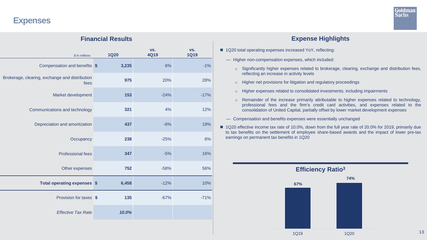**Expenses**



## **Expense Highlights**

- 1Q20 total operating expenses increased YoY, reflecting:
	- Higher non-compensation expenses, which included:
		- o Significantly higher expenses related to brokerage, clearing, exchange and distribution fees, reflecting an increase in activity levels
		- o Higher net provisions for litigation and regulatory proceedings
		- o Higher expenses related to consolidated investments, including impairments
		- o Remainder of the increase primarily attributable to higher expenses related to technology, professional fees and the firm's credit card activities, and expenses related to the consolidation of United Capital, partially offset by lower market development expenses
	- Compensation and benefits expenses were essentially unchanged
- 1Q20 effective income tax rate of 10.0%, down from the full year rate of 20.0% for 2019, primarily due to tax benefits on the settlement of employee share-based awards and the impact of lower pre-tax earnings on permanent tax benefits in 1Q20



# **Financial Results**

| \$ in millions                                         | <b>1Q20</b> | VS.<br><b>4Q19</b> | VS.<br><b>1Q19</b> |
|--------------------------------------------------------|-------------|--------------------|--------------------|
| Compensation and benefits \$                           | 3,235       | 6%                 | $-1%$              |
| Brokerage, clearing, exchange and distribution<br>fees | 975         | 20%                | 28%                |
| Market development                                     | 153         | $-24%$             | $-17%$             |
| Communications and technology                          | 321         | 4%                 | 12%                |
| Depreciation and amortization                          | 437         | $-6%$              | 19%                |
| Occupancy                                              | 238         | $-25%$             | 6%                 |
| <b>Professional fees</b>                               | 347         | $-5%$              | 16%                |
| Other expenses                                         | 752         | $-58%$             | 56%                |
| Total operating expenses \$                            | 6,458       | $-12%$             | 10%                |
| Provision for taxes \$                                 | 135         | $-67%$             | $-71%$             |
| <b>Effective Tax Rate</b>                              | 10.0%       |                    |                    |
|                                                        |             |                    |                    |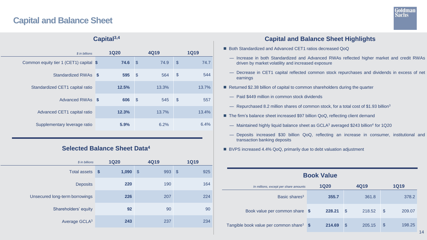# **Capital and Balance Sheet**



| $Capital9,4$                           |  |             |               |       |                           |             |  |  |
|----------------------------------------|--|-------------|---------------|-------|---------------------------|-------------|--|--|
| \$ in billions                         |  | <b>1Q20</b> |               | 4Q19  |                           | <b>1Q19</b> |  |  |
| Common equity tier 1 (CET1) capital \$ |  | 74.6        | $\sqrt{3}$    | 74.9  | $\mathcal{S}$             | 74.7        |  |  |
| Standardized RWAs \$                   |  | 595         | $\mathcal{S}$ | 564   | $\boldsymbol{\mathsf{S}}$ | 544         |  |  |
| Standardized CET1 capital ratio        |  | 12.5%       |               | 13.3% |                           | 13.7%       |  |  |
| Advanced RWAs \$                       |  | 606         | $\mathcal{S}$ | 545   | $\mathcal{S}$             | 557         |  |  |
| Advanced CET1 capital ratio            |  | 12.3%       |               | 13.7% |                           | 13.4%       |  |  |
| Supplementary leverage ratio           |  | 5.9%        |               | 6.2%  |                           | 6.4%        |  |  |

## **Capital3,4**

### **Selected Balance Sheet Data<sup>4</sup>**

| <b>1Q20</b>                        | <b>4Q19</b>          | <b>1Q19</b>          |  |  |
|------------------------------------|----------------------|----------------------|--|--|
| 1,090<br>$\boldsymbol{\mathsf{s}}$ | 993<br>$\sqrt[6]{3}$ | $\sqrt[6]{3}$<br>925 |  |  |
| 220                                | 190                  | 164                  |  |  |
| 226                                | 207                  | 224                  |  |  |
| 92                                 | 90                   | 90                   |  |  |
| 243                                | 237                  | 234                  |  |  |
|                                    |                      |                      |  |  |

## **Capital and Balance Sheet Highlights**

- Both Standardized and Advanced CET1 ratios decreased QoQ
	- Increase in both Standardized and Advanced RWAs reflected higher market and credit RWAs driven by market volatility and increased exposure
	- Decrease in CET1 capital reflected common stock repurchases and dividends in excess of net earnings
- Returned \$2.38 billion of capital to common shareholders during the quarter
	- Paid \$449 million in common stock dividends
	- Repurchased 8.2 million shares of common stock, for a total cost of \$1.93 billion<sup>3</sup>
- The firm's balance sheet increased \$97 billion QoQ, reflecting client demand
	- Maintained highly liquid balance sheet as GCLA<sup>3</sup> averaged \$243 billion<sup>4</sup> for 1Q20
	- Deposits increased \$30 billion QoQ, reflecting an increase in consumer, institutional and transaction banking deposits
- BVPS increased 4.4% QoQ, primarily due to debt valuation adjustment

| <b>Book Value</b>                                    |  |             |               |        |                            |        |  |  |  |
|------------------------------------------------------|--|-------------|---------------|--------|----------------------------|--------|--|--|--|
| In millions, except per share amounts                |  | <b>1Q20</b> |               | 4Q19   | <b>1Q19</b>                |        |  |  |  |
| Basic shares <sup>3</sup>                            |  | 355.7       |               | 361.8  |                            | 378.2  |  |  |  |
| Book value per common share \$                       |  | 228.21      | $\mathcal{S}$ | 218.52 | $\boldsymbol{\mathsf{S}}$  | 209.07 |  |  |  |
| Tangible book value per common share <sup>1</sup> \$ |  | 214.69      | $\mathcal{S}$ | 205.15 | $\boldsymbol{\mathcal{S}}$ | 198.25 |  |  |  |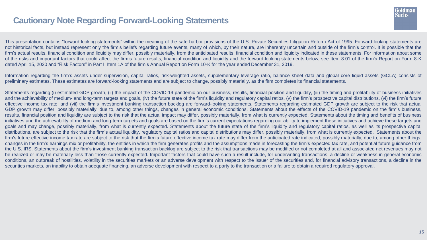# **Cautionary Note Regarding Forward-Looking Statements**



This presentation contains "forward-looking statements" within the meaning of the safe harbor provisions of the U.S. Private Securities Litigation Reform Act of 1995. Forward-looking statements are not historical facts, but instead represent only the firm's beliefs regarding future events, many of which, by their nature, are inherently uncertain and outside of the firm's control. It is possible that the firm's actual results, financial condition and liquidity may differ, possibly materially, from the anticipated results, financial condition and liquidity indicated in these statements. For information about some of the risks and important factors that could affect the firm's future results, financial condition and liquidity and the forward-looking statements below, see Item 8.01 of the firm's Report on Form 8-K dated April 15, 2020 and "Risk Factors" in Part I, Item 1A of the firm's Annual Report on Form 10-K for the year ended December 31, 2019.

Information regarding the firm's assets under supervision, capital ratios, risk-weighted assets, supplementary leverage ratio, balance sheet data and global core liquid assets (GCLA) consists of preliminary estimates. These estimates are forward-looking statements and are subject to change, possibly materially, as the firm completes its financial statements.

Statements regarding (i) estimated GDP growth, (ii) the impact of the COVID-19 pandemic on our business, results, financial position and liquidity, (iii) the timing and profitability of business initiatives and the achievability of medium- and long-term targets and goals, (iv) the future state of the firm's liquidity and regulatory capital ratios, (v) the firm's prospective capital distributions, (vi) the firm's future effective income tax rate, and (vii) the firm's investment banking transaction backlog are forward-looking statements. Statements regarding estimated GDP growth are subject to the risk that actual GDP growth may differ, possibly materially, due to, among other things, changes in general economic conditions. Statements about the effects of the COVID-19 pandemic on the firm's business, results, financial position and liquidity are subject to the risk that the actual impact may differ, possibly materially, from what is currently expected. Statements about the timing and benefits of business initiatives and the achievability of medium and long-term targets and goals are based on the firm's current expectations regarding our ability to implement these initiatives and achieve these targets and goals and may change, possibly materially, from what is currently expected. Statements about the future state of the firm's liquidity and regulatory capital ratios, as well as its prospective capital distributions, are subject to the risk that the firm's actual liquidity, regulatory capital ratios and capital distributions may differ, possibly materially, from what is currently expected. Statements about the firm's future effective income tax rate are subject to the risk that the firm's future effective income tax rate may differ from the anticipated rate indicated, possibly materially, due to, among other things, changes in the firm's earnings mix or profitability, the entities in which the firm generates profits and the assumptions made in forecasting the firm's expected tax rate, and potential future guidance from the U.S. IRS. Statements about the firm's investment banking transaction backlog are subject to the risk that transactions may be modified or not completed at all and associated net revenues may not be realized or may be materially less than those currently expected. Important factors that could have such a result include, for underwriting transactions, a decline or weakness in general economic conditions, an outbreak of hostilities, volatility in the securities markets or an adverse development with respect to the issuer of the securities and, for financial advisory transactions, a decline in the securities markets, an inability to obtain adequate financing, an adverse development with respect to a party to the transaction or a failure to obtain a required regulatory approval.